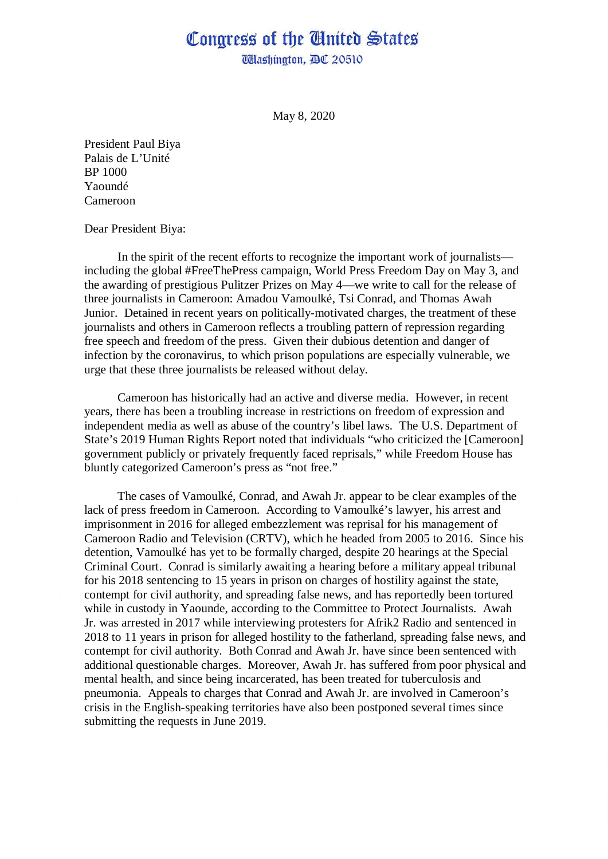## Congress of the Ginited States

**Wlashington, DC 20510** 

May 8, 2020

President Paul Biya Palais de L'Unité BP 1000 Yaoundé Cameroon

Dear President Biya:

In the spirit of the recent efforts to recognize the important work of journalists including the global #FreeThePress campaign, World Press Freedom Day on May 3, and the awarding of prestigious Pulitzer Prizes on May 4—we write to call for the release of three journalists in Cameroon: Amadou Vamoulké, Tsi Conrad, and Thomas Awah Junior. Detained in recent years on politically-motivated charges, the treatment of these journalists and others in Cameroon reflects a troubling pattern of repression regarding free speech and freedom of the press. Given their dubious detention and danger of infection by the coronavirus, to which prison populations are especially vulnerable, we urge that these three journalists be released without delay.

Cameroon has historically had an active and diverse media. However, in recent years, there has been a troubling increase in restrictions on freedom of expression and independent media as well as abuse of the country's libel laws. The U.S. Department of State's 2019 Human Rights Report noted that individuals "who criticized the [Cameroon] government publicly or privately frequently faced reprisals," while Freedom House has bluntly categorized Cameroon's press as "not free."

The cases of Vamoulké, Conrad, and Awah Jr. appear to be clear examples of the lack of press freedom in Cameroon. According to Vamoulké's lawyer, his arrest and imprisonment in 2016 for alleged embezzlement was reprisal for his management of Cameroon Radio and Television (CRTV), which he headed from 2005 to 2016. Since his detention, Vamoulké has yet to be formally charged, despite 20 hearings at the Special Criminal Court. Conrad is similarly awaiting a hearing before a military appeal tribunal for his 2018 sentencing to 15 years in prison on charges of hostility against the state, contempt for civil authority, and spreading false news, and has reportedly been tortured while in custody in Yaounde, according to the Committee to Protect Journalists. Awah Jr. was arrested in 2017 while interviewing protesters for Afrik2 Radio and sentenced in 2018 to 11 years in prison for alleged hostility to the fatherland, spreading false news, and contempt for civil authority. Both Conrad and Awah Jr. have since been sentenced with additional questionable charges. Moreover, Awah Jr. has suffered from poor physical and mental health, and since being incarcerated, has been treated for tuberculosis and pneumonia. Appeals to charges that Conrad and Awah Jr. are involved in Cameroon's crisis in the English-speaking territories have also been postponed several times since submitting the requests in June 2019.